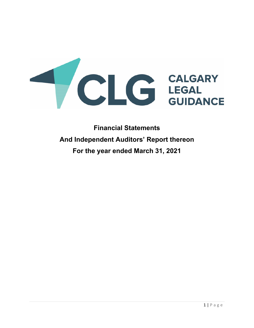

**Financial Statements And Independent Auditors' Report thereon For the year ended March 31, 2021**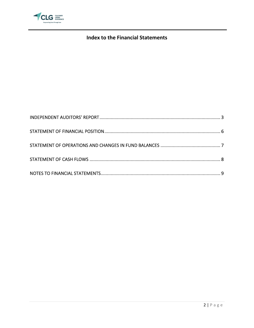

# **Index to the Financial Statements**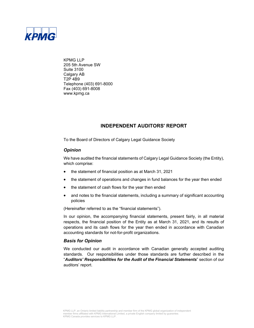

KPMG LLP 205 5th Avenue SW Suite 3100 Calgary AB T2P 4B9 Telephone (403) 691-8000 Fax (403) 691-8008 www.kpmg.ca

# **INDEPENDENT AUDITORS' REPORT**

To the Board of Directors of Calgary Legal Guidance Society

# *Opinion*

We have audited the financial statements of Calgary Legal Guidance Society (the Entity), which comprise:

- the statement of financial position as at March 31, 2021
- the statement of operations and changes in fund balances for the year then ended
- the statement of cash flows for the year then ended
- and notes to the financial statements, including a summary of significant accounting policies

(Hereinafter referred to as the "financial statements").

In our opinion, the accompanying financial statements, present fairly, in all material respects, the financial position of the Entity as at March 31, 2021, and its results of operations and its cash flows for the year then ended in accordance with Canadian accounting standards for not-for-profit organizations.

### *Basis for Opinion*

We conducted our audit in accordance with Canadian generally accepted auditing standards. Our responsibilities under those standards are further described in the "*Auditors' Responsibilities for the Audit of the Financial Statements*" section of our auditors' report.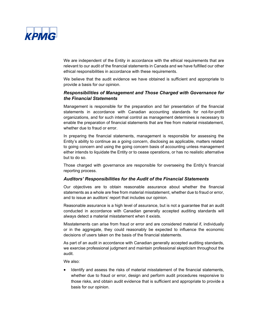

We are independent of the Entity in accordance with the ethical requirements that are relevant to our audit of the financial statements in Canada and we have fulfilled our other ethical responsibilities in accordance with these requirements.

We believe that the audit evidence we have obtained is sufficient and appropriate to provide a basis for our opinion.

# *Responsibilities of Management and Those Charged with Governance for the Financial Statements*

Management is responsible for the preparation and fair presentation of the financial statements in accordance with Canadian accounting standards for not-for-profit organizations, and for such internal control as management determines is necessary to enable the preparation of financial statements that are free from material misstatement, whether due to fraud or error.

In preparing the financial statements, management is responsible for assessing the Entity's ability to continue as a going concern, disclosing as applicable, matters related to going concern and using the going concern basis of accounting unless management either intends to liquidate the Entity or to cease operations, or has no realistic alternative but to do so.

Those charged with governance are responsible for overseeing the Entity's financial reporting process.

### *Auditors' Responsibilities for the Audit of the Financial Statements*

Our objectives are to obtain reasonable assurance about whether the financial statements as a whole are free from material misstatement, whether due to fraud or error, and to issue an auditors' report that includes our opinion.

Reasonable assurance is a high level of assurance, but is not a guarantee that an audit conducted in accordance with Canadian generally accepted auditing standards will always detect a material misstatement when it exists.

Misstatements can arise from fraud or error and are considered material if, individually or in the aggregate, they could reasonably be expected to influence the economic decisions of users taken on the basis of the financial statements.

As part of an audit in accordance with Canadian generally accepted auditing standards, we exercise professional judgment and maintain professional skepticism throughout the audit.

We also:

 Identify and assess the risks of material misstatement of the financial statements, whether due to fraud or error, design and perform audit procedures responsive to those risks, and obtain audit evidence that is sufficient and appropriate to provide a basis for our opinion.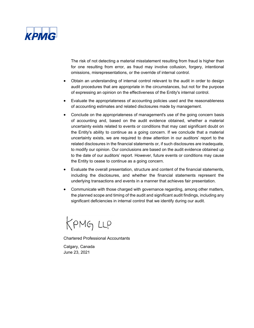

The risk of not detecting a material misstatement resulting from fraud is higher than for one resulting from error, as fraud may involve collusion, forgery, intentional omissions, misrepresentations, or the override of internal control.

- Obtain an understanding of internal control relevant to the audit in order to design audit procedures that are appropriate in the circumstances, but not for the purpose of expressing an opinion on the effectiveness of the Entity's internal control.
- Evaluate the appropriateness of accounting policies used and the reasonableness of accounting estimates and related disclosures made by management.
- Conclude on the appropriateness of management's use of the going concern basis of accounting and, based on the audit evidence obtained, whether a material uncertainty exists related to events or conditions that may cast significant doubt on the Entity's ability to continue as a going concern. If we conclude that a material uncertainty exists, we are required to draw attention in our auditors' report to the related disclosures in the financial statements or, if such disclosures are inadequate, to modify our opinion. Our conclusions are based on the audit evidence obtained up to the date of our auditors' report. However, future events or conditions may cause the Entity to cease to continue as a going concern.
- Evaluate the overall presentation, structure and content of the financial statements, including the disclosures, and whether the financial statements represent the underlying transactions and events in a manner that achieves fair presentation.
- Communicate with those charged with governance regarding, among other matters, the planned scope and timing of the audit and significant audit findings, including any significant deficiencies in internal control that we identify during our audit.

KPMG LLP

Chartered Professional Accountants

Calgary, Canada June 23, 2021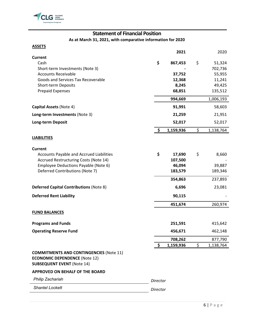

# **Statement of Financial Position**

**As at March 31, 2021, with comparative information for 2020**

| <b>ASSETS</b>                                                                                                               |                     |                   |                 |
|-----------------------------------------------------------------------------------------------------------------------------|---------------------|-------------------|-----------------|
| <b>Current</b>                                                                                                              |                     | 2021              | 2020            |
| Cash                                                                                                                        | \$                  | 867,453           | \$<br>51,324    |
| Short-term Investments (Note 3)                                                                                             |                     |                   | 702,736         |
| <b>Accounts Receivable</b>                                                                                                  |                     | 37,752            | 55,955          |
| Goods and Services Tax Recoverable                                                                                          |                     | 12,368            | 11,241          |
| Short-term Deposits                                                                                                         |                     | 8,245             | 49,425          |
| <b>Prepaid Expenses</b>                                                                                                     |                     | 68,851            | 135,512         |
|                                                                                                                             |                     | 994,669           | 1,006,193       |
| Capital Assets (Note 4)                                                                                                     |                     | 91,991            | 58,603          |
| Long-term Investments (Note 3)                                                                                              |                     | 21,259            | 21,951          |
| <b>Long-term Deposit</b>                                                                                                    |                     | 52,017            | 52,017          |
|                                                                                                                             | $\ddot{\bm{\zeta}}$ | 1,159,936         | \$<br>1,138,764 |
| <b>LIABILITIES</b>                                                                                                          |                     |                   |                 |
|                                                                                                                             |                     |                   |                 |
| <b>Current</b>                                                                                                              |                     |                   |                 |
| <b>Accounts Payable and Accrued Liabilities</b><br>Accrued Restructuring Costs (Note 14)                                    | \$                  | 17,690<br>107,500 | \$<br>8,660     |
| Employee Deductions Payable (Note 6)                                                                                        |                     | 46,094            | 39,887          |
| Deferred Contributions (Note 7)                                                                                             |                     | 183,579           | 189,346         |
|                                                                                                                             |                     | 354,863           | 237,893         |
|                                                                                                                             |                     | 6,696             |                 |
| <b>Deferred Capital Contributions (Note 8)</b>                                                                              |                     |                   | 23,081          |
| <b>Deferred Rent Liability</b>                                                                                              |                     | 90,115            |                 |
|                                                                                                                             |                     | 451,674           | 260,974         |
| <b>FUND BALANCES</b>                                                                                                        |                     |                   |                 |
|                                                                                                                             |                     |                   |                 |
| <b>Programs and Funds</b>                                                                                                   |                     | 251,591           | 415,642         |
| <b>Operating Reserve Fund</b>                                                                                               |                     | 456,671           | 462,148         |
|                                                                                                                             |                     | 708,262           | 877,790         |
|                                                                                                                             | $\mathsf{S}$        | 1,159,936         | \$<br>1,138,764 |
| <b>COMMITMENTS AND CONTINGENCIES (Note 11)</b><br><b>ECONOMIC DEPENDENCE (Note 12)</b><br><b>SUBSEQUENT EVENT (Note 14)</b> |                     |                   |                 |
| <b>APPROVED ON BEHALF OF THE BOARD</b>                                                                                      |                     |                   |                 |
| Philip Zachariah                                                                                                            | Director            |                   |                 |
| <b>Shantel Lockett</b>                                                                                                      | <b>Director</b>     |                   |                 |
|                                                                                                                             |                     |                   |                 |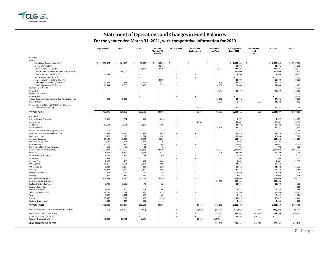

# **Statement ofOperations and Changesin Fund Balances For the year ended March 31, 2021, with comparative information for 2020**

|                                                                       | <b>Legal Services</b> | <b>DVFL</b>    | SBAP                         | Sawhoo<br>Mohkaak Tsi<br>Ma Taas | Advice-A-Thon            | Invested in<br><b>Capital Assets</b> | Programs &<br>Infra. Fund | <b>Total Programs &amp;</b><br><b>Funds 2021</b> | Op. Reserve<br>Fund<br>2021 | <b>Total 2021</b> | Total 2020  |
|-----------------------------------------------------------------------|-----------------------|----------------|------------------------------|----------------------------------|--------------------------|--------------------------------------|---------------------------|--------------------------------------------------|-----------------------------|-------------------|-------------|
| <b>REVENUE</b>                                                        |                       |                |                              |                                  |                          |                                      |                           |                                                  |                             |                   |             |
| Grants                                                                |                       |                |                              |                                  |                          |                                      |                           |                                                  |                             |                   |             |
| Alberta Law Foundation (Note 7)                                       | \$2,390,574           | \$<br>381,186  | $\ddot{\varsigma}$<br>33,692 | \$<br>184,548                    | \$                       | \$                                   | -Ś<br>$\sim$              | \$2,990,000                                      | Ś                           | \$2,990,000       | \$2,767,356 |
| United Way (Note 7)                                                   |                       |                |                              | 81,401                           |                          |                                      |                           | 81,401                                           |                             | 81,401            | 91,000      |
| City of Calgary, FCSS (Note 7)                                        |                       |                | 276,098                      | 139,493                          |                          |                                      | 28,000                    | 443,591                                          |                             | 443,591           | 420,822     |
| Solicitor General, Victims of Crime Fund (Note 7)                     |                       | 150,000        |                              |                                  |                          |                                      |                           | 150,000                                          |                             | 150,000           | 187,500     |
| Canada Summer Jobs (Note 7)                                           | 4,694                 |                |                              |                                  |                          |                                      |                           | 4,694                                            |                             | 4,694             | 18,759      |
| Anonymous Donor (Note 7)                                              |                       |                |                              |                                  |                          |                                      |                           |                                                  |                             |                   | 11,880      |
| Law Foundation of Ontario (Note 7)                                    |                       |                |                              | 20,000                           |                          |                                      |                           | 20,000                                           |                             | 20,000            | 20,000      |
| The Calgary Foundation (Notes 5 & 7)<br>COVID-19 Grants and Subsidies | 17,852<br>11,434      | 2,371<br>2,250 | 1,406<br>1,332               | 2,371<br>2,250                   |                          |                                      | 1,375<br>4,397            | 25,375<br>21,663                                 |                             | 25,375<br>21,663  | 9,485       |
| Law Society of Alberta                                                |                       |                |                              |                                  |                          |                                      |                           |                                                  |                             |                   | 76,229      |
| Donations                                                             |                       |                |                              |                                  |                          |                                      | 42,347                    | 42,347                                           |                             | 42,347            | 56,110      |
| <b>Event Sponsorships</b>                                             |                       |                |                              |                                  |                          |                                      |                           |                                                  |                             |                   | 17,001      |
| Casino (Note 7)                                                       |                       |                |                              |                                  |                          |                                      |                           |                                                  |                             |                   | 56,438      |
| Gladue Reports, Admin. Fees and Cost Reimbursements                   | 492                   | 2,499          |                              |                                  |                          |                                      | 12,000                    | 14,991                                           |                             | 14,991            | 18,279      |
| Interest Income                                                       |                       |                |                              |                                  |                          |                                      | 3,664                     | 3,664                                            | 7,878                       | 11,542            | 3,455       |
| Recognition of Deferred Contributions Related to                      |                       |                |                              |                                  |                          |                                      |                           |                                                  |                             |                   |             |
| Capital Assets (Note 8)                                               |                       |                | $\sim$                       | $\sim$                           | ٠                        | 16,385                               | ٠                         | 16,385                                           | ٠                           | 16,385            | 25,796      |
| <b>TOTAL REVENUE</b>                                                  | 2,425,046             | 538,306        | 312,528                      | 430,063                          | ×                        | 16,385                               | 91,783                    | 3,814,111                                        | 7,878                       | 3,821,989         | 3,780,110   |
| <b>EXPENSES</b>                                                       |                       |                |                              |                                  |                          |                                      |                           |                                                  |                             |                   |             |
| Advertising and Promotion                                             | 5,396                 | 861            | 510                          | 1,210                            |                          |                                      |                           | 7,977                                            |                             | 7,977             | 20,379      |
|                                                                       |                       |                |                              |                                  |                          | 45,681                               |                           | 45,681                                           |                             | 45,681            | 30,668      |
| Amortization<br><b>Audit Fees</b>                                     | 19,622                | 3,861          | 2,288                        | 6,861                            |                          |                                      |                           | 32,632                                           |                             | 32,632            | 18,001      |
| <b>Board Expenses</b>                                                 |                       |                |                              |                                  |                          |                                      | 35,445                    | 35,445                                           |                             | 35,445            | 4,833       |
| Client Service Costs and Program Supplies                             | 651                   |                |                              | 10                               |                          |                                      |                           | 661                                              |                             | 661               | 6,054       |
| Dues, Fees, Licenses and Memberships                                  | 40,865                | 8,386          | 3,931                        | 4,696                            |                          |                                      |                           | 57,878                                           |                             | 57,878            | 56,566      |
| <b>Equipment Lease</b>                                                | 6,470                 | 1,273          | 754                          | 1,509                            |                          |                                      |                           | 10,006                                           |                             | 10,006            | 7,877       |
| <b>Computer Expenses</b>                                              | 69,145                | 13,549         | 8,028                        | 21,591                           |                          |                                      |                           | 112,313                                          |                             | 112,313           | 123,129     |
| COVID-19 Safety Costs                                                 | 3,120                 | 491            | 291                          | 491                              |                          |                                      |                           | 4,393                                            |                             | 4,393             |             |
| <b>CRM Software</b>                                                   | 21,222                | 488            | 289                          | 488                              |                          |                                      |                           | 22,487                                           |                             | 22,487            | 18,512      |
| Furniture and Equipment Purchases                                     | 565                   | 53             | 31                           | 53                               |                          |                                      |                           | 702                                              |                             | 702               | 832         |
| Human Resource Costs (Note 9)                                         | 1,931,932             | 444,050        | 261,894                      | 321,705                          |                          |                                      | 18,503                    | 2,978,084                                        |                             | 2,978,084         | 2,906,787   |
| Insurance                                                             | 24,835                | 15,229         | 3,253                        | 3,177                            |                          |                                      | 705                       | 47,199                                           |                             | 47,199            | 41,746      |
| Interest and Bank Charges                                             | 2,135                 | 420            | 249                          | 420                              |                          |                                      |                           | 3,224                                            |                             | 3,224             | 3,057       |
| Interpreters                                                          | 564                   |                |                              |                                  |                          |                                      |                           | 564                                              |                             | 564               | 1,251       |
| <b>Meeting Costs</b>                                                  | 2,377                 | 483            | 354                          | 1,648                            |                          |                                      |                           | 4,862                                            |                             | 4,862             | 42,897      |
| <b>Moving Costs</b>                                                   | 15,065                | 2,881          | 1,707                        | 2,881                            |                          |                                      |                           | 22,534                                           |                             | 22,534            |             |
| <b>Office Supplies</b>                                                | 8,022                 | 1,327          | 828                          | 1,365                            |                          |                                      |                           | 11,542                                           |                             | 11,542            | 24,828      |
| Parking                                                               | 16,401                | 3,222          | 1,909                        | 3,582                            |                          |                                      |                           | 25,114                                           |                             | 25,114            | 23,665      |
| Postage and Courier                                                   | 1,302                 | 59             | 49                           | 59                               |                          |                                      |                           | 1,469                                            |                             | 1,469             | 3,279       |
| Printing                                                              | 1,940                 | 382            | 370                          | 382                              |                          |                                      |                           | 3,074                                            |                             | 3,074             | 14,305      |
| Rent and Utilities (Note 9)                                           | 254,864               | 50,145         | 29,711                       | 50,145                           |                          |                                      |                           | 384,865                                          |                             | 384,865           | 300,835     |
| Restructuring Costs (Note 14)                                         |                       |                |                              |                                  |                          |                                      | 107,500                   | 107,500                                          |                             | 107,500           |             |
| Professional Development                                              | 8,736                 | 3,869          | 72                           | 226                              |                          |                                      |                           | 12,903                                           |                             | 12,903            | 14,308      |
| Program Evaluation                                                    |                       |                |                              |                                  |                          |                                      |                           |                                                  |                             |                   | 5,821       |
| <b>Statues and Books</b>                                              | 4,344                 | 594            | 352                          | 594                              |                          |                                      |                           | 5,884                                            |                             | 5,884             | 5,458       |
| Telephone and Internet                                                | 14,297                | 2,817          | 1,667                        | 3,574                            |                          |                                      |                           | 22,355                                           |                             | 22,355            | 20,575      |
| Travel                                                                | 3,572                 | 4,401          | 307                          | 832                              |                          |                                      |                           | 9,112                                            |                             | 9,112             | 39,924      |
| Volunteer                                                             | 10,597                | 1,812          | 1,088                        | 2,120                            |                          |                                      |                           | 15,617                                           |                             | 15,617            | 42,146      |
| Website Development                                                   | 4,289                 | 444            | 263                          | 444                              |                          |                                      |                           | 5,440                                            |                             | 5,440             | 4,756       |
| <b>TOTAL EXPENSES</b>                                                 | 2,472,328             | 561,097        | 320,195                      | 430,063                          | $\overline{\phantom{a}}$ | 45,681                               | 162,153                   | 3,991,517                                        | $\cdot$                     | 3,991,517         | 3,782,489   |
| EXCESS (DEFICIENCY) OF REVENUE OVER EXPENSES                          | (47, 282)             | (22, 791)      | (7,667)                      |                                  | ÷,                       | (29, 296)                            | (70, 370)                 | (177, 406)                                       | 7,878                       | (169, 528)        | (2, 379)    |
| Fund Balances, Beginning of Year                                      |                       |                |                              |                                  |                          |                                      | 415,642                   | 415,642                                          | 462,148                     | 877,790           | 880,169     |
| Interfund Transfers (Note 10)                                         |                       |                |                              |                                  |                          |                                      | 13,355                    | 13,355                                           | (13, 355)                   |                   |             |
| Program Transfers (Note 10)                                           | 47,282                | 22,791         | 7,667                        |                                  |                          | 29,296                               | (107, 036)                |                                                  |                             |                   |             |
| FUND BALANCES, END OF YEAR                                            |                       |                |                              |                                  |                          |                                      | 251,591                   | 251,591                                          | 456,671                     | 708.262           | 877,790     |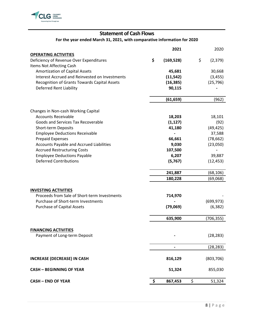

# **Statement of Cash Flows**

**For the year ended March 31, 2021, with comparative information for 2020**

|                                                       | 2021             | 2020           |
|-------------------------------------------------------|------------------|----------------|
| <b>OPERATING ACTIVITIES</b>                           |                  |                |
| Deficiency of Revenue Over Expenditures               | \$<br>(169, 528) | \$<br>(2, 379) |
| Items Not Affecting Cash                              |                  |                |
| <b>Amortization of Capital Assets</b>                 | 45,681           | 30,668         |
| <b>Interest Accrued and Reinvested on Investments</b> | (11, 542)        | (3, 455)       |
| Recognition of Grants Towards Capital Assets          | (16, 385)        | (25, 796)      |
| <b>Deferred Rent Liability</b>                        | 90,115           |                |
|                                                       |                  |                |
|                                                       | (61, 659)        | (962)          |
| Changes in Non-cash Working Capital                   |                  |                |
| <b>Accounts Receivable</b>                            | 18,203           | 18,101         |
| Goods and Services Tax Recoverable                    | (1, 127)         | (92)           |
| <b>Short-term Deposits</b>                            | 41,180           | (49, 425)      |
| <b>Employee Deductions Receivable</b>                 |                  | 37,588         |
| <b>Prepaid Expenses</b>                               | 66,661           | (78, 662)      |
| <b>Accounts Payable and Accrued Liabilities</b>       | 9,030            | (23,050)       |
| <b>Accrued Restructuring Costs</b>                    | 107,500          |                |
| <b>Employee Deductions Payable</b>                    | 6,207            | 39,887         |
| <b>Deferred Contributions</b>                         | (5,767)          | (12, 453)      |
|                                                       |                  |                |
|                                                       | 241,887          | (68, 106)      |
|                                                       | 180,228          | (69,068)       |
|                                                       |                  |                |
| <b>INVESTING ACTIVITIES</b>                           |                  |                |
| Proceeds from Sale of Short-term Investments          | 714,970          |                |
| Purchase of Short-term Investments                    |                  | (699, 973)     |
| <b>Purchase of Capital Assets</b>                     | (79,069)         | (6, 382)       |
|                                                       |                  |                |
|                                                       | 635,900          | (706, 355)     |
|                                                       |                  |                |
| <b>FINANCING ACTIVITIES</b>                           |                  |                |
| Payment of Long-term Deposit                          |                  | (28, 283)      |
|                                                       |                  |                |
|                                                       |                  | (28, 283)      |
| <b>INCREASE (DECREASE) IN CASH</b>                    | 816,129          | (803, 706)     |
|                                                       |                  |                |
| <b>CASH - BEGINNING OF YEAR</b>                       | 51,324           | 855,030        |
| <b>CASH - END OF YEAR</b>                             | \$<br>867,453    | \$<br>51,324   |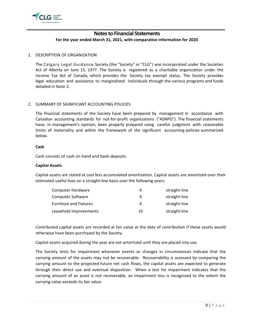

# 1. DESCRIPTION OF ORGANIZATION

The Calgary Legal Guidance Society (the "Society" or "CLG") was incorporated under the Societies Act of Alberta on June 15, 1977. The Society is registered as a charitable organization under the Income Tax Act of Canada, which provides the Society tax exempt status. The Society provides legal education and assistance to marginalized individuals through the various programs and funds detailed in Note 2.

# 2. SUMMARY OF SIGNIFICANT ACCOUNTING POLICIES

The financial statements of the Society have been prepared by management in accordance with Canadian accounting standards for not‐for‐profit organizations ("ASNPO"). The financial statements have, in management's opinion, been properly prepared using careful judgment with reasonable limits of materiality and within the framework of the significant accounting policies summarized below.

### **Cash**

Cash consists of cash on hand and bank deposits.

### **Capital Assets**

Capital assets are stated at cost less accumulated amortization. Capital assets are amortized over their estimated useful lives on a straight‐line basis over the following years:

| Computer Hardware             | 4  | straight-line |
|-------------------------------|----|---------------|
| Computer Software             | Δ  | straight-line |
| <b>Furniture and Fixtures</b> | Δ  | straight-line |
| Leasehold Improvements        | 10 | straight-line |

Contributed capital assets are recorded at fair value at the date of contribution if these assets would otherwise have been purchased by the Society.

Capital assets acquired during the year are not amortized until they are placed into use.

The Society tests for impairment whenever events or changes in circumstances indicate that the carrying amount of the assets may not be recoverable. Recoverability is assessed by comparing the carrying amount to the projected future net cash flows, the capital assets are expected to generate through their direct use and eventual disposition. When a test for impairment indicates that the carrying amount of an asset is not recoverable, an impairment loss is recognized to the extent the carrying value exceeds its fair value.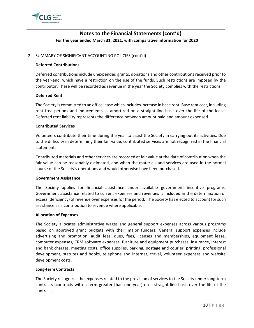

### 2. SUMMARY OF SIGNIFICANT ACCOUNTING POLICIES (cont'd)

### **Deferred Contributions**

Deferred contributions include unexpended grants, donations and other contributions received prior to the year‐end, which have a restriction on the use of the funds. Such restrictions are imposed by the contributor. These will be recorded as revenue in the year the Society complies with the restrictions.

### **Deferred Rent**

The Society is committed to an office lease which includesincrease in base rent. Base rent cost, including rent free periods and inducements, is amortized on a straight‐line basis over the life of the lease. Deferred rent liability represents the difference between amount paid and amount expensed.

### **Contributed Services**

Volunteers contribute their time during the year to assist the Society in carrying out its activities. Due to the difficulty in determining their fair value, contributed services are not recognized in the financial statements.

Contributed materials and other services are recorded at fair value at the date of contribution when the fair value can be reasonably estimated, and when the materials and services are used in the normal course of the Society's operations and would otherwise have been purchased.

#### **Government Assistance**

The Society applies for financial assistance under available government incentive programs. Government assistance related to current expenses and revenues is included in the determination of excess (deficiency) of revenue over expenses for the period. The Society has elected to account for such assistance as a contribution to revenue where applicable.

#### **Allocation of Expenses**

The Society allocates administrative wages and general support expenses across various programs based on approved grant budgets with their major funders. General support expenses include advertising and promotion, audit fees, dues, fees, licenses and memberships, equipment lease, computer expenses, CRM software expenses, furniture and equipment purchases, insurance, interest and bank charges, meeting costs, office supplies, parking, postage and courier, printing, professional development, statutes and books, telephone and internet, travel, volunteer expenses and website development costs.

#### **Long‐term Contracts**

The Society recognizes the expenses related to the provision of services to the Society under long‐term contracts (contracts with a term greater than one year) on a straight‐line basis over the life of the contract.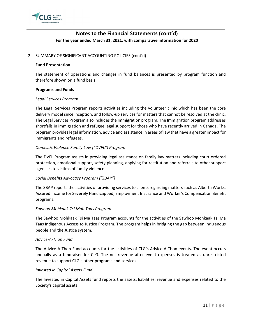

# 2. SUMMARY OF SIGNIFICANT ACCOUNTING POLICIES (cont'd)

### **Fund Presentation**

The statement of operations and changes in fund balances is presented by program function and therefore shown on a fund basis.

### **Programs and Funds**

### *Legal Services Program*

The Legal Services Program reports activities including the volunteer clinic which has been the core delivery model since inception, and follow-up services for matters that cannot be resolved at the clinic. The Legal Services Program also includes the Immigration program. The Immigration program addresses shortfalls in immigration and refugee legal support for those who have recently arrived in Canada. The program provides legal information, advice and assistance in areas of law that have a greater impact for immigrants and refugees.

### *Domestic Violence Family Law ("DVFL") Program*

The DVFL Program assists in providing legal assistance on family law matters including court ordered protection, emotional support, safety planning, applying for restitution and referrals to other support agencies to victims of family violence.

### *Social Benefits Advocacy Program ("SBAP")*

The SBAP reports the activities of providing services to clients regarding matters such as Alberta Works, Assured Income for Severely Handicapped, Employment Insurance and Worker's Compensation Benefit programs.

#### *Sawhoo Mohkaak Tsi Mah Taas Program*

The Sawhoo Mohkaak Tsi Ma Taas Program accounts for the activities of the Sawhoo Mohkaak Tsi Ma Taas Indigenous Access to Justice Program. The program helps in bridging the gap between Indigenous people and the Justice system.

#### *Advice‐A‐Thon Fund*

The Advice‐A‐Thon Fund accounts for the activities of CLG's Advice‐A‐Thon events. The event occurs annually as a fundraiser for CLG. The net revenue after event expenses is treated as unrestricted revenue to support CLG's other programs and services.

#### *Invested in Capital Assets Fund*

The Invested in Capital Assets fund reports the assets, liabilities, revenue and expenses related to the Society's capital assets.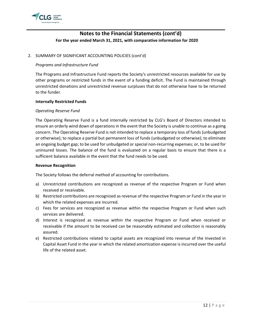

# 2. SUMMARY OF SIGNIFICANT ACCOUNTING POLICIES (cont'd)

# *Programs and Infrastructure Fund*

The Programs and Infrastructure Fund reports the Society's unrestricted resources available for use by other programs or restricted funds in the event of a funding deficit. The Fund is maintained through unrestricted donations and unrestricted revenue surpluses that do not otherwise have to be returned to the funder.

### **Internally Restricted Funds**

### *Operating Reserve Fund*

The Operating Reserve Fund is a fund internally restricted by CLG's Board of Directors intended to ensure an orderly wind down of operations in the event that the Society is unable to continue as a going concern. The Operating Reserve Fund is not intended to replace a temporary loss of funds (unbudgeted or otherwise); to replace a partial but permanent loss of funds (unbudgeted or otherwise); to eliminate an ongoing budget gap; to be used for unbudgeted or special non‐recurring expenses; or, to be used for uninsured losses. The balance of the fund is evaluated on a regular basis to ensure that there is a sufficient balance available in the event that the fund needs to be used.

#### **Revenue Recognition**

The Society follows the deferral method of accounting for contributions.

- a) Unrestricted contributions are recognized as revenue of the respective Program or Fund when received or receivable.
- b) Restricted contributions are recognized as revenue of the respective Program or Fund in the year in which the related expenses are incurred.
- c) Fees for services are recognized as revenue within the respective Program or Fund when such services are delivered.
- d) Interest is recognized as revenue within the respective Program or Fund when received or receivable if the amount to be received can be reasonably estimated and collection is reasonably assured.
- e) Restricted contributions related to capital assets are recognized into revenue of the Invested in Capital Asset Fund in the year in which the related amortization expense is incurred over the useful life of the related asset.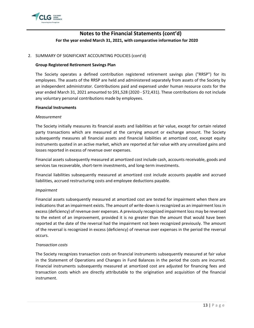

# 2. SUMMARY OF SIGNIFICANT ACCOUNTING POLICIES (cont'd)

### **Group Registered Retirement Savings Plan**

The Society operates a defined contribution registered retirement savings plan ("RRSP") for its employees. The assets of the RRSP are held and administered separately from assets of the Society by an independent administrator. Contributions paid and expensed under human resource costs for the year ended March 31, 2021 amounted to \$91,528 (2020 ‐ \$72,431). These contributions do not include any voluntary personal contributions made by employees.

### **Financial Instruments**

### *Measurement*

The Society initially measures its financial assets and liabilities at fair value, except for certain related party transactions which are measured at the carrying amount or exchange amount. The Society subsequently measures all financial assets and financial liabilities at amortized cost, except equity instruments quoted in an active market, which are reported at fair value with any unrealized gains and losses reported in excess of revenue over expenses.

Financial assets subsequently measured at amortized cost include cash, accounts receivable, goods and services tax recoverable, short-term investments, and long-term investments.

Financial liabilities subsequently measured at amortized cost include accounts payable and accrued liabilities, accrued restructuring costs and employee deductions payable.

### *Impairment*

Financial assets subsequently measured at amortized cost are tested for impairment when there are indications that an impairment exists. The amount of write‐down is recognized as an impairment loss in excess(deficiency) of revenue over expenses. A previously recognized impairment loss may be reversed to the extent of an improvement, provided it is no greater than the amount that would have been reported at the date of the reversal had the impairment not been recognized previously. The amount of the reversal is recognized in excess (deficiency) of revenue over expenses in the period the reversal occurs.

### *Transaction costs*

The Society recognizes transaction costs on financial instruments subsequently measured at fair value in the Statement of Operations and Changes in Fund Balances in the period the costs are incurred. Financial instruments subsequently measured at amortized cost are adjusted for financing fees and transaction costs which are directly attributable to the origination and acquisition of the financial instrument.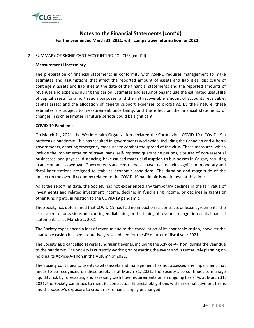

# 2. SUMMARY OF SIGNIFICANT ACCOUNTING POLICIES (cont'd)

### **Measurement Uncertainty**

The preparation of financial statements in conformity with ASNPO requires management to make estimates and assumptions that affect the reported amount of assets and liabilities, disclosure of contingent assets and liabilities at the date of the financial statements and the reported amounts of revenues and expenses during the period. Estimates and assumptions include the estimated useful life of capital assets for amortization purposes, and the net recoverable amount of accounts receivable, capital assets and the allocation of general support expenses to programs. By their nature, these estimates are subject to measurement uncertainty, and the effect on the financial statements of changes in such estimates in future periods could be significant.

### **COVID‐19 Pandemic**

On March 11, 2021, the World Health Organization declared the Coronavirus COVID‐19 ("COVID‐19") outbreak a pandemic. This has resulted in governments worldwide, including the Canadian and Alberta governments, enacting emergency measures to combat the spread of the virus. These measures, which include the implementation of travel bans, self-imposed quarantine periods, closures of non-essential businesses, and physical distancing, have caused material disruption to businesses in Calgary resulting in an economic slowdown. Governments and central banks have reacted with significant monetary and fiscal interventions designed to stabilize economic conditions. The duration and magnitude of the impact on the overall economy related to the COVID‐19 pandemic is not known at this time.

As at the reporting date, the Society has not experienced any temporary declines in the fair value of investments and related investment income, declines in fundraising income, or declines in grants or other funding etc. in relation to the COVID‐19 pandemic.

The Society has determined that COVID‐19 has had no impact on its contracts or lease agreements, the assessment of provisions and contingent liabilities, or the timing of revenue recognition on its financial statements as at March 31, 2021.

The Society experienced a loss of revenue due to the cancellation of its charitable casino, however the charitable casino has been tentatively rescheduled for the  $4<sup>th</sup>$  quarter of fiscal year 2021.

The Society also cancelled several fundraising events, including the Advice‐A‐Thon, during the year due to the pandemic. The Society is currently working on restarting the event and is tentatively planning on holding its Advice‐A‐Thon in the Autumn of 2021.

The Society continues to use its capital assets and management has not assessed any impairment that needs to be recognized on these assets as at March 31, 2021. The Society also continues to manage liquidity risk by forecasting and assessing cash flow requirements on an ongoing basis. As at March 31, 2021, the Society continues to meet its contractual financial obligations within normal payment terms and the Society's exposure to credit risk remains largely unchanged.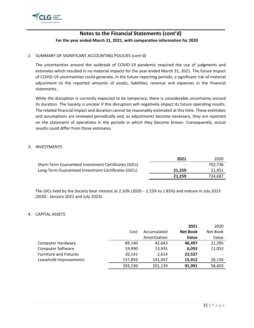

# 2. SUMMARY OF SIGNIFICANT ACCOUNTING POLICIES (cont'd)

The uncertainties around the outbreak of COVID‐19 pandemic required the use of judgments and estimates which resulted in no material impacts for the year ended March 31, 2021. The future impact of COVID‐19 uncertainties could generate, in the future reporting periods, a significant risk of material adjustment to the reported amounts of assets, liabilities, revenue and expenses in the financial statements.

While the disruption is currently expected to be temporary, there is considerable uncertainty around its duration. The Society is unclear if this disruption will negatively impact its future operating results. The related financial impact and duration cannot be reasonably estimated at this time. These estimates and assumptions are reviewed periodically and, as adjustments become necessary, they are reported on the statement of operations in the periods in which they become known. Consequently, actual results could differ from those estimates.

### 3. INVESTMENTS

|                                                      | 2021                     | 2020    |
|------------------------------------------------------|--------------------------|---------|
| Short-Term Guaranteed Investment Certificates (GICs) | $\overline{\phantom{0}}$ | 702.736 |
| Long-Term Guaranteed Investment Certificates (GICs)  | 21.259                   | 21,951  |
|                                                      | 21.259                   | 724.687 |

The GICs held by the Society bear interest at 2.10% (2020 – 2.15% to 1.85%) and mature in July 2023 (2020 ‐ January 2021 and July 2023).

### 4. CAPITAL ASSETS

|                               |         |              | 2021            | 2020     |
|-------------------------------|---------|--------------|-----------------|----------|
|                               | Cost    | Accumulated  | <b>Net Book</b> | Net Book |
|                               |         | Amortization | Value           | Value    |
| Computer Hardware             | 89,140  | 42,643       | 46,497          | 21,395   |
| <b>Computer Software</b>      | 19,990  | 13,935       | 6.055           | 11,052   |
| <b>Furniture and Fixtures</b> | 26,141  | 2.614        | 23,527          |          |
| Leasehold Improvements        | 157,859 | 141,947      | 15,912          | 26,156   |
|                               | 293,130 | 201,139      | 91,991          | 58,603   |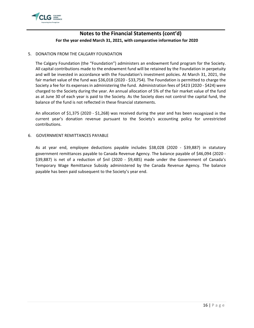

### 5. DONATION FROM THE CALGARY FOUNDATION

The Calgary Foundation (the "Foundation") administers an endowment fund program for the Society. All capital contributions made to the endowment fund will be retained by the Foundation in perpetuity and will be invested in accordance with the Foundation's investment policies. At March 31, 2021, the fair market value of the fund was \$36,018 (2020 ‐ \$33,754). The Foundation is permitted to charge the Society a fee for its expenses in administering the fund. Administration fees of \$423 (2020 ‐ \$424) were charged to the Society during the year. An annual allocation of 5% of the fair market value of the fund as at June 30 of each year is paid to the Society. As the Society does not control the capital fund, the balance of the fund is not reflected in these financial statements.

An allocation of \$1,375 (2020 ‐ \$1,268) was received during the year and has been recognized in the current year's donation revenue pursuant to the Society's accounting policy for unrestricted contributions.

### 6. GOVERNMENT REMITTANCES PAYABLE

As at year end, employee deductions payable includes \$38,028 (2020 ‐ \$39,887) in statutory government remittances payable to Canada Revenue Agency. The balance payable of \$46,094 (2020 ‐ \$39,887) is net of a reduction of \$nil (2020 - \$9,485) made under the Government of Canada's Temporary Wage Remittance Subsidy administered by the Canada Revenue Agency. The balance payable has been paid subsequent to the Society's year end.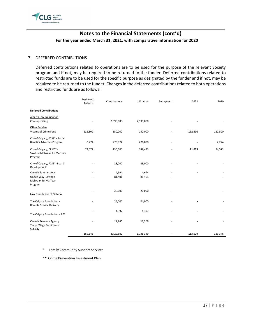

# 7. DEFERRED CONTRIBUTIONS

Deferred contributions related to operations are to be used for the purpose of the relevant Society program and if not, may be required to be returned to the funder. Deferred contributions related to restricted funds are to be used for the specific purpose as designated by the funder and if not, may be required to be returned to the funder. Changes in the deferred contributions related to both operations and restricted funds are as follows:

|                                                                     | Beginning<br>Balance | Contributions | Utilization | Repayment | 2021    | 2020    |
|---------------------------------------------------------------------|----------------------|---------------|-------------|-----------|---------|---------|
| <b>Deferred Contributions</b>                                       |                      |               |             |           |         |         |
| Alberta Law Foundation<br>Core operating                            |                      | 2,990,000     | 2,990,000   |           |         |         |
| Other Funders<br>Victims of Crime Fund                              | 112,500              | 150,000       | 150,000     |           | 112,500 | 112,500 |
| City of Calgary, FCSS* - Social<br><b>Benefits Advocacy Program</b> | 2,274                | 273,824       | 276,098     |           |         | 2,274   |
| City of Calgary, CPIP** -<br>Sawhoo Mohkaak Tsi Ma Taas<br>Program  | 74,572               | 136,000       | 139,493     |           | 71,079  | 74,572  |
| City of Calgary, FCSS* -Board<br>Development                        |                      | 28,000        | 28,000      |           |         |         |
| Canada Summer Jobs                                                  |                      | 4,694         | 4,694       |           |         |         |
| United Way- Sawhoo<br>Mohkaak Tsi Ma Taas<br>Program                |                      | 81,401        | 81,401      |           |         |         |
| Law Foundation of Ontario                                           |                      | 20,000        | 20,000      |           |         |         |
| The Calgary Foundation -<br><b>Remote Service Delivery</b>          |                      | 24,000        | 24,000      |           |         |         |
| The Calgary Foundation - PPE                                        |                      | 4,397         | 4,397       |           |         |         |
| Canada Revenue Agency<br>Temp. Wage Remittance<br>Subsidy           |                      | 17,266        | 17,266      |           |         |         |
|                                                                     | 189,346              | 3,729,582     | 3,735,349   | $\sim$    | 183,579 | 189,346 |

Family Community Support Services

\*\* Crime Prevention Investment Plan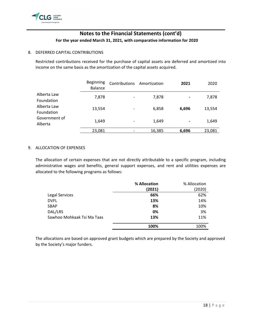

### 8. DEFERRED CAPITAL CONTRIBUTIONS

Restricted contributions received for the purchase of capital assets are deferred and amortized into income on the same basis as the amortization of the capital assets acquired.

|                           | Beginning<br><b>Balance</b> | Contributions | Amortization | 2021           | 2020   |
|---------------------------|-----------------------------|---------------|--------------|----------------|--------|
| Alberta Law<br>Foundation | 7,878                       | -             | 7,878        | $\blacksquare$ | 7,878  |
| Alberta Law<br>Foundation | 13,554                      | -             | 6,858        | 6,696          | 13,554 |
| Government of<br>Alberta  | 1,649                       | -             | 1,649        | $\blacksquare$ | 1,649  |
|                           | 23,081                      |               | 16,385       | 6,696          | 23,081 |

### 9. ALLOCATION OF EXPENSES

The allocation of certain expenses that are not directly attributable to a specific program, including administrative wages and benefits, general support expenses, and rent and utilities expenses are allocated to the following programs as follows:

|                            | % Allocation | % Allocation |
|----------------------------|--------------|--------------|
|                            | (2021)       | (2020)       |
| Legal Services             | 66%          | 62%          |
| <b>DVFL</b>                | 13%          | 14%          |
| <b>SBAP</b>                | 8%           | 10%          |
| DAL/LRS                    | 0%           | 3%           |
| Sawhoo Mohkaak Tsi Ma Taas | 13%          | 11%          |
|                            | 100%         | 100%         |

The allocations are based on approved grant budgets which are prepared by the Society and approved by the Society's major funders.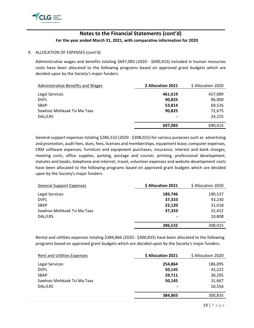

# 9. ALLOCATION OF EXPENSES (cont'd)

Administrative wages and benefits totaling \$697,083 (2020 ‐ \$690,415) included in human resources costs have been allocated to the following programs based on approved grant budgets which are decided upon by the Society's major funders.

| Administrative Benefits and Wages | \$ Allocation 2021 | \$ Allocation 2020 |
|-----------------------------------|--------------------|--------------------|
| Legal Services                    | 461,619            | 427,089            |
| <b>DVFL</b>                       | 90,825             | 96,900             |
| <b>SBAP</b>                       | 53,814             | 69,526             |
| Sawhoo Mohkaak Tsi Ma Taas        | 90,825             | 72,675             |
| DAL/LRS                           |                    | 24,225             |
|                                   | 697,083            | 690,415            |

General support expenses totaling \$286,532 (2020 ‐ \$308,015) for various purposes such as advertising and promotion, audit fees, dues, fees, licenses and memberships, equipment lease, computer expenses, CRM software expenses, furniture and equipment purchases, insurance, interest and bank charges, meeting costs, office supplies, parking, postage and courier, printing, professional development, statutes and books, telephone and internet, travel, volunteer expenses and website development costs have been allocated to the following programs based on approved grant budgets which are decided upon by the Society's major funders.

| <b>General Support Expenses</b> | \$ Allocation 2021 | \$ Allocation 2020 |
|---------------------------------|--------------------|--------------------|
| Legal Services                  | 189,746            | 190,537            |
| <b>DVFL</b>                     | 37,333             | 43,230             |
| <b>SBAP</b>                     | 22.120             | 31,018             |
| Sawhoo Mohkaak Tsi Ma Taas      | 37,333             | 32,422             |
| DAL/LRS                         | -                  | 10,808             |
|                                 | 286,532            | 308,015            |

Rental and utilities expenses totaling \$384,866 (2020 ‐ \$300,835) have been allocated to the following programs based on approved grant budgets which are decided upon by the Society's major funders.

| Rent and Utilities Expenses | \$ Allocation 2021 | \$ Allocation 2020 |
|-----------------------------|--------------------|--------------------|
| Legal Services              | 254,864            | 186,095            |
| <b>DVFL</b>                 | 50,145             | 42,222             |
| <b>SBAP</b>                 | 29,711             | 30,295             |
| Sawhoo Mohkaak Tsi Ma Taas  | 50,145             | 31,667             |
| DAL/LRS                     |                    | 10,556             |
|                             | 384,865            | 300,835            |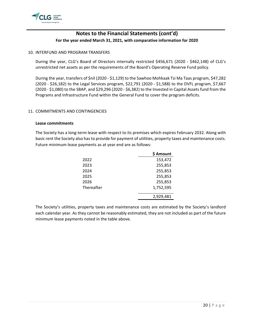

### 10. INTERFUND AND PROGRAM TRANSFERS

During the year, CLG's Board of Directors internally restricted \$456,671 (2020 - \$462,148) of CLG's unrestricted net assets as per the requirements of the Board's Operating Reserve Fund policy.

During the year, transfers of \$nil (2020 ‐ \$1,129) to the Sawhoo Mohkaak Tsi Ma Taas program, \$47,282 (2020 ‐ \$26,182) to the Legal Services program, \$22,791 (2020 ‐ \$1,588) to the DVFL program, \$7,667 (2020 ‐ \$1,080) to the SBAP, and \$29,296 (2020 ‐ \$6,382) to the Invested in Capital Assets fund from the Programs and Infrastructure Fund within the General Fund to cover the program deficits.

### 11. COMMITMENTS AND CONTINGENCIES

#### **Lease commitments**

The Society has a long-term lease with respect to its premises which expires February 2032. Along with basic rent the Society also hasto provide for payment of utilities, property taxes and maintenance costs. Future minimum lease payments as at year end are as follows:

|            | \$ Amount |
|------------|-----------|
| 2022       | 153,472   |
| 2023       | 255,853   |
| 2024       | 255,853   |
| 2025       | 255,853   |
| 2026       | 255,853   |
| Thereafter | 1,752,595 |
|            | 2,929,481 |

The Society's utilities, property taxes and maintenance costs are estimated by the Society's landlord each calendar year. As they cannot be reasonably estimated, they are not included as part of the future minimum lease payments noted in the table above.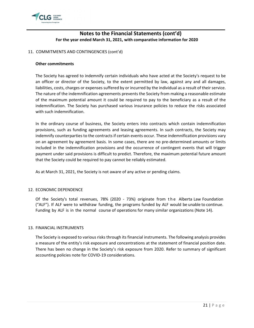

### 11. COMMITMENTS AND CONTINGENCIES (cont'd)

### **Other commitments**

The Society has agreed to indemnify certain individuals who have acted at the Society's request to be an officer or director of the Society, to the extent permitted by law, against any and all damages, liabilities, costs, charges or expenses suffered by or incurred by the individual as a result of their service. The nature of the indemnification agreements prevents the Society from making a reasonable estimate of the maximum potential amount it could be required to pay to the beneficiary as a result of the indemnification. The Society has purchased various insurance policies to reduce the risks associated with such indemnification.

In the ordinary course of business, the Society enters into contracts which contain indemnification provisions, such as funding agreements and leasing agreements. In such contracts, the Society may indemnify counterparties to the contracts if certain events occur. These indemnification provisions vary on an agreement by agreement basis. In some cases, there are no pre‐determined amounts or limits included in the indemnification provisions and the occurrence of contingent events that will trigger payment under said provisions is difficult to predict. Therefore, the maximum potential future amount that the Society could be required to pay cannot be reliably estimated.

As at March 31, 2021, the Society is not aware of any active or pending claims.

### 12. ECONOMIC DEPENDENCE

Of the Society's total revenues, 78% (2020 - 73%) originate from the Alberta Law Foundation ("ALF"). If ALF were to withdraw funding, the programs funded by ALF would be unable to continue. Funding by ALF is in the normal course of operations for many similar organizations (Note 14).

### 13. FINANCIAL INSTRUMENTS

The Society is exposed to various risks through its financial instruments. The following analysis provides a measure of the entity's risk exposure and concentrations at the statement of financial position date. There has been no change in the Society's risk exposure from 2020. Refer to summary of significant accounting policies note for COVID‐19 considerations.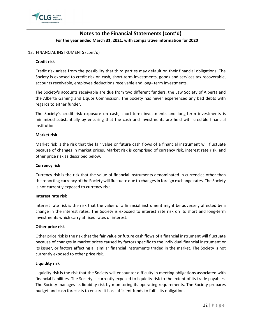

### 13. FINANCIAL INSTRUMENTS (cont'd)

### **Credit risk**

Credit risk arises from the possibility that third parties may default on their financial obligations. The Society is exposed to credit risk on cash, short-term investments, goods and services tax recoverable, accounts receivable, employee deductions receivable and long‐ term investments.

The Society's accounts receivable are due from two different funders, the Law Society of Alberta and the Alberta Gaming and Liquor Commission. The Society has never experienced any bad debts with regards to either funder.

The Society's credit risk exposure on cash, short-term investments and long-term investments is minimized substantially by ensuring that the cash and investments are held with credible financial institutions.

#### **Market risk**

Market risk is the risk that the fair value or future cash flows of a financial instrument will fluctuate because of changes in market prices. Market risk is comprised of currency risk, interest rate risk, and other price risk as described below.

#### **Currency risk**

Currency risk is the risk that the value of financial instruments denominated in currencies other than the reporting currency of the Society will fluctuate due to changesin foreign exchange rates. The Society is not currently exposed to currency risk.

#### **Interest rate risk**

Interest rate risk is the risk that the value of a financial instrument might be adversely affected by a change in the interest rates. The Society is exposed to interest rate risk on its short and long-term investments which carry at fixed rates of interest.

#### **Other price risk**

Other price risk is the risk that the fair value or future cash flows of a financial instrument will fluctuate because of changes in market prices caused by factors specific to the individual financial instrument or its issuer, or factors affecting all similar financial instruments traded in the market. The Society is not currently exposed to other price risk.

### **Liquidity risk**

Liquidity risk is the risk that the Society will encounter difficulty in meeting obligations associated with financial liabilities. The Society is currently exposed to liquidity risk to the extent of its trade payables. The Society manages its liquidity risk by monitoring its operating requirements. The Society prepares budget and cash forecasts to ensure it has sufficient funds to fulfill its obligations.